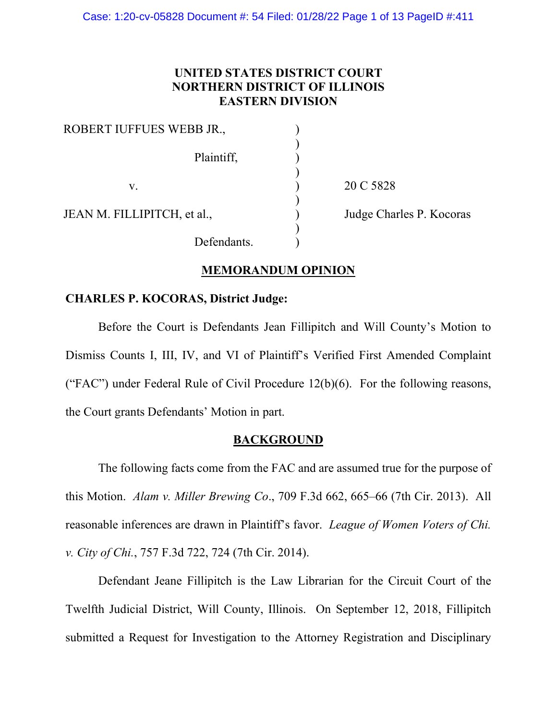# **UNITED STATES DISTRICT COURT NORTHERN DISTRICT OF ILLINOIS EASTERN DIVISION**

| ROBERT IUFFUES WEBB JR.,    |     |
|-----------------------------|-----|
| Plaintiff,                  |     |
| V.                          | 20  |
| JEAN M. FILLIPITCH, et al., | Juc |
| Defendants.                 |     |

C 5828

dge Charles P. Kocoras

# **MEMORANDUM OPINION**

# **CHARLES P. KOCORAS, District Judge:**

Before the Court is Defendants Jean Fillipitch and Will County's Motion to Dismiss Counts I, III, IV, and VI of Plaintiff's Verified First Amended Complaint ("FAC") under Federal Rule of Civil Procedure  $12(b)(6)$ . For the following reasons, the Court grants Defendants' Motion in part.

# **BACKGROUND**

The following facts come from the FAC and are assumed true for the purpose of this Motion. *Alam v. Miller Brewing Co*., 709 F.3d 662, 665–66 (7th Cir. 2013).All reasonable inferences are drawn in Plaintiff's favor. *League of Women Voters of Chi. v. City of Chi.*, 757 F.3d 722, 724 (7th Cir. 2014).

Defendant Jeane Fillipitch is the Law Librarian for the Circuit Court of the Twelfth Judicial District, Will County, Illinois. On September 12, 2018, Fillipitch submitted a Request for Investigation to the Attorney Registration and Disciplinary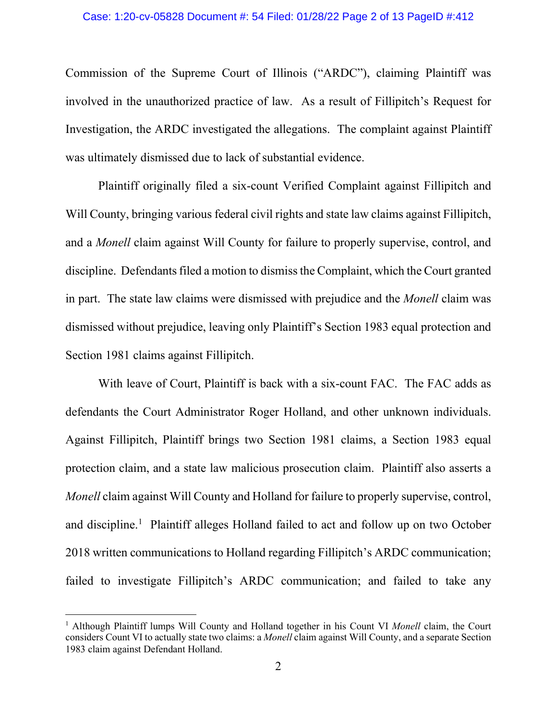Commission of the Supreme Court of Illinois ("ARDC"), claiming Plaintiff was involved in the unauthorized practice of law. As a result of Fillipitch's Request for Investigation, the ARDC investigated the allegations. The complaint against Plaintiff was ultimately dismissed due to lack of substantial evidence.

Plaintiff originally filed a six-count Verified Complaint against Fillipitch and Will County, bringing various federal civil rights and state law claims against Fillipitch, and a *Monell* claim against Will County for failure to properly supervise, control, and discipline.Defendants filed a motion to dismiss the Complaint, which the Court granted in part. The state law claims were dismissed with prejudice and the *Monell* claim was dismissed without prejudice, leaving only Plaintiff's Section 1983 equal protection and Section 1981 claims against Fillipitch.

With leave of Court, Plaintiff is back with a six-count FAC. The FAC adds as defendants the Court Administrator Roger Holland, and other unknown individuals. Against Fillipitch, Plaintiff brings two Section 1981 claims, a Section 1983 equal protection claim, and a state law malicious prosecution claim. Plaintiff also asserts a *Monell* claim against Will County and Holland for failure to properly supervise, control, and discipline.<sup>1</sup> Plaintiff alleges Holland failed to act and follow up on two October 2018 written communications to Holland regarding Fillipitch's ARDC communication; failed to investigate Fillipitch's ARDC communication; and failed to take any

<span id="page-1-0"></span><sup>1</sup> Although Plaintiff lumps Will County and Holland together in his Count VI *Monell* claim, the Court considers Count VI to actually state two claims: a *Monell* claim against Will County, and a separate Section 1983 claim against Defendant Holland.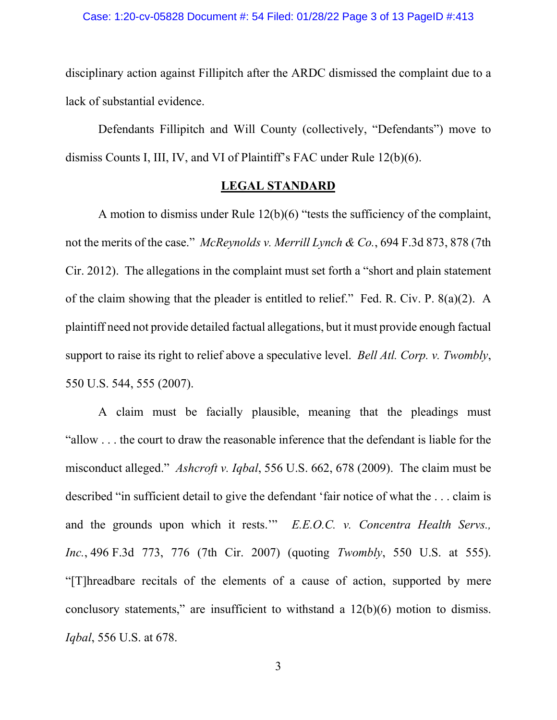disciplinary action against Fillipitch after the ARDC dismissed the complaint due to a lack of substantial evidence.

Defendants Fillipitch and Will County (collectively, "Defendants") move to dismiss Counts I, III, IV, and VI of Plaintiff's FAC under Rule 12(b)(6).

## **LEGAL STANDARD**

A motion to dismiss under Rule 12(b)(6) "tests the sufficiency of the complaint, not the merits of the case." *McReynolds v. Merrill Lynch & Co.*, 694 F.3d 873, 878 (7th Cir. 2012). The allegations in the complaint must set forth a "short and plain statement of the claim showing that the pleader is entitled to relief." Fed. R. Civ. P. 8(a)(2). A plaintiff need not provide detailed factual allegations, but it must provide enough factual support to raise its right to relief above a speculative level. *Bell Atl. Corp. v. Twombly*, 550 U.S. 544, 555 (2007).

A claim must be facially plausible, meaning that the pleadings must "allow . . . the court to draw the reasonable inference that the defendant is liable for the misconduct alleged." *Ashcroft v. Iqbal*, 556 U.S. 662, 678 (2009). The claim must be described "in sufficient detail to give the defendant 'fair notice of what the . . . claim is and the grounds upon which it rests.'" *E.E.O.C. v. Concentra Health Servs., Inc.*, 496 F.3d 773, 776 (7th Cir. 2007) (quoting *Twombly*, 550 U.S. at 555). "[T]hreadbare recitals of the elements of a cause of action, supported by mere conclusory statements," are insufficient to withstand a 12(b)(6) motion to dismiss. *Iqbal*, 556 U.S. at 678.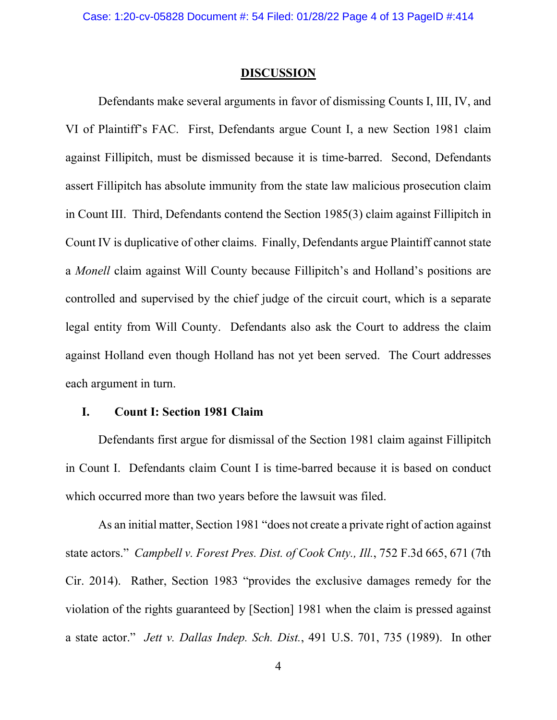### **DISCUSSION**

Defendants make several arguments in favor of dismissing Counts I, III, IV, and VI of Plaintiff's FAC. First, Defendants argue Count I, a new Section 1981 claim against Fillipitch, must be dismissed because it is time-barred. Second, Defendants assert Fillipitch has absolute immunity from the state law malicious prosecution claim in Count III. Third, Defendants contend the Section 1985(3) claim against Fillipitch in Count IV is duplicative of other claims. Finally, Defendants argue Plaintiff cannot state a *Monell* claim against Will County because Fillipitch's and Holland's positions are controlled and supervised by the chief judge of the circuit court, which is a separate legal entity from Will County. Defendants also ask the Court to address the claim against Holland even though Holland has not yet been served. The Court addresses each argument in turn.

## **I. Count I: Section 1981 Claim**

Defendants first argue for dismissal of the Section 1981 claim against Fillipitch in Count I. Defendants claim Count I is time-barred because it is based on conduct which occurred more than two years before the lawsuit was filed.

As an initial matter, Section 1981 "does not create a private right of action against state actors." *Campbell v. Forest Pres. Dist. of Cook Cnty., Ill.*, 752 F.3d 665, 671 (7th Cir. 2014). Rather, Section 1983 "provides the exclusive damages remedy for the violation of the rights guaranteed by [Section] 1981 when the claim is pressed against a state actor." *Jett v. Dallas Indep. Sch. Dist.*, 491 U.S. 701, 735 (1989). In other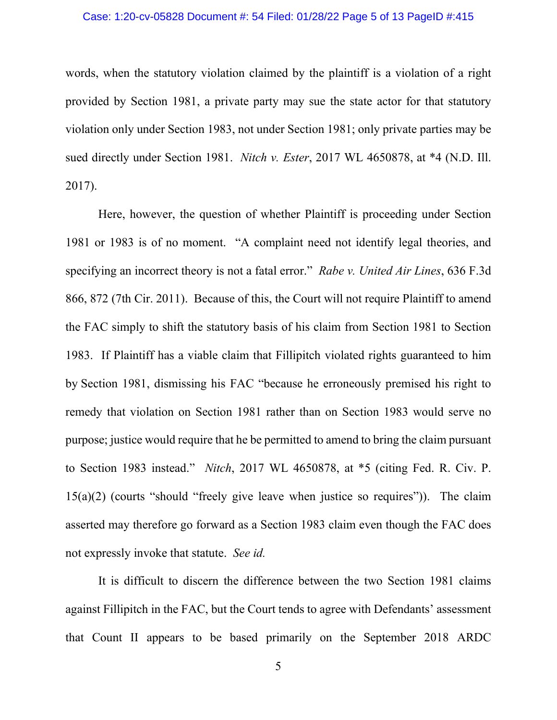#### Case: 1:20-cv-05828 Document #: 54 Filed: 01/28/22 Page 5 of 13 PageID #:415

words, when the statutory violation claimed by the plaintiff is a violation of a right provided by Section 1981, a private party may sue the state actor for that statutory violation only under Section 1983, not under Section 1981; only private parties may be sued directly under Section 1981. *Nitch v. Ester*, 2017 WL 4650878, at \*4 (N.D. Ill. 2017).

Here, however, the question of whether Plaintiff is proceeding under Section 1981 or 1983 is of no moment. "A complaint need not identify legal theories, and specifying an incorrect theory is not a fatal error." *Rabe v. United Air Lines*, 636 F.3d 866, 872 (7th Cir. 2011). Because of this, the Court will not require Plaintiff to amend the FAC simply to shift the statutory basis of his claim from Section 1981 to Section 1983. If Plaintiff has a viable claim that Fillipitch violated rights guaranteed to him by Section 1981, dismissing his FAC "because he erroneously premised his right to remedy that violation on Section 1981 rather than on Section 1983 would serve no purpose; justice would require that he be permitted to amend to bring the claim pursuant to Section 1983 instead." *Nitch*, 2017 WL 4650878, at \*5 (citing Fed. R. Civ. P. 15(a)(2) (courts "should "freely give leave when justice so requires")). The claim asserted may therefore go forward as a Section 1983 claim even though the FAC does not expressly invoke that statute. *See id.*

It is difficult to discern the difference between the two Section 1981 claims against Fillipitch in the FAC, but the Court tends to agree with Defendants' assessment that Count II appears to be based primarily on the September 2018 ARDC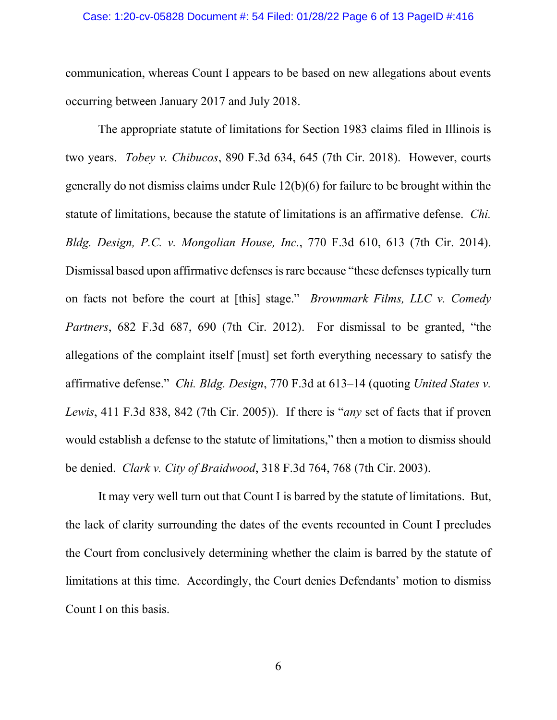#### Case: 1:20-cv-05828 Document #: 54 Filed: 01/28/22 Page 6 of 13 PageID #:416

communication, whereas Count I appears to be based on new allegations about events occurring between January 2017 and July 2018.

The appropriate statute of limitations for Section 1983 claims filed in Illinois is two years. *Tobey v. Chibucos*, 890 F.3d 634, 645 (7th Cir. 2018). However, courts generally do not dismiss claims under Rule 12(b)(6) for failure to be brought within the statute of limitations, because the statute of limitations is an affirmative defense. *Chi. Bldg. Design, P.C. v. Mongolian House, Inc.*, 770 F.3d 610, 613 (7th Cir. 2014). Dismissal based upon affirmative defenses is rare because "these defenses typically turn on facts not before the court at [this] stage." *Brownmark Films, LLC v. Comedy Partners*, 682 F.3d 687, 690 (7th Cir. 2012). For dismissal to be granted, "the allegations of the complaint itself [must] set forth everything necessary to satisfy the affirmative defense." *Chi. Bldg. Design*, 770 F.3d at 613–14 (quoting *United States v. Lewis*, 411 F.3d 838, 842 (7th Cir. 2005)). If there is "*any* set of facts that if proven would establish a defense to the statute of limitations," then a motion to dismiss should be denied. *Clark v. City of Braidwood*, 318 F.3d 764, 768 (7th Cir. 2003).

It may very well turn out that Count I is barred by the statute of limitations. But, the lack of clarity surrounding the dates of the events recounted in Count I precludes the Court from conclusively determining whether the claim is barred by the statute of limitations at this time. Accordingly, the Court denies Defendants' motion to dismiss Count I on this basis.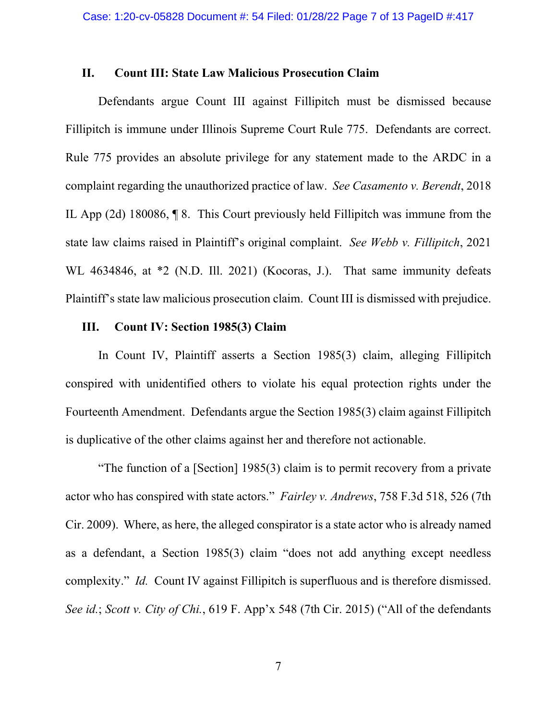### **II. Count III: State Law Malicious Prosecution Claim**

Defendants argue Count III against Fillipitch must be dismissed because Fillipitch is immune under Illinois Supreme Court Rule 775. Defendants are correct. Rule 775 provides an absolute privilege for any statement made to the ARDC in a complaint regarding the unauthorized practice of law. *See Casamento v. Berendt*, 2018 IL App (2d) 180086, ¶ 8. This Court previously held Fillipitch was immune from the state law claims raised in Plaintiff's original complaint. *See Webb v. Fillipitch*, 2021 WL 4634846, at \*2 (N.D. Ill. 2021) (Kocoras, J.). That same immunity defeats Plaintiff's state law malicious prosecution claim. Count III is dismissed with prejudice.

## **III. Count IV: Section 1985(3) Claim**

In Count IV, Plaintiff asserts a Section 1985(3) claim, alleging Fillipitch conspired with unidentified others to violate his equal protection rights under the Fourteenth Amendment. Defendants argue the Section 1985(3) claim against Fillipitch is duplicative of the other claims against her and therefore not actionable.

"The function of a [Section] 1985(3) claim is to permit recovery from a private actor who has conspired with state actors." *Fairley v. Andrews*, 758 F.3d 518, 526 (7th Cir. 2009). Where, as here, the alleged conspirator is a state actor who is already named as a defendant, a Section 1985(3) claim "does not add anything except needless complexity." *Id.* Count IV against Fillipitch is superfluous and is therefore dismissed. *See id.*; *Scott v. City of Chi.*, 619 F. App'x 548 (7th Cir. 2015) ("All of the defendants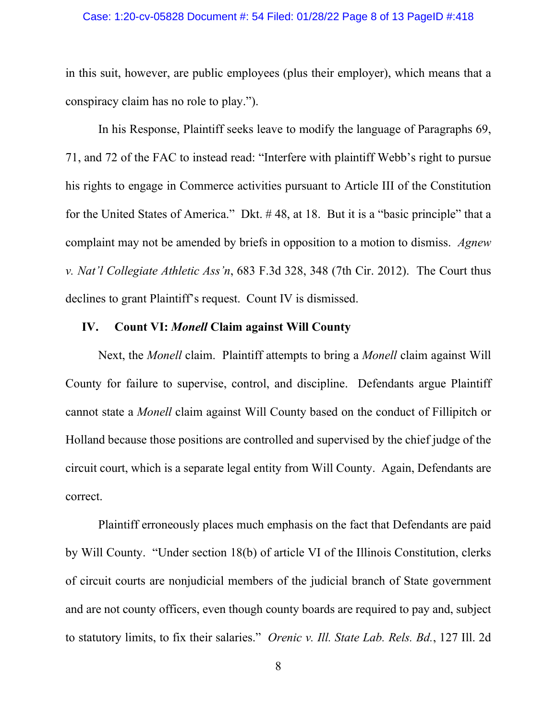#### Case: 1:20-cv-05828 Document #: 54 Filed: 01/28/22 Page 8 of 13 PageID #:418

in this suit, however, are public employees (plus their employer), which means that a conspiracy claim has no role to play.").

In his Response, Plaintiff seeks leave to modify the language of Paragraphs 69, 71, and 72 of the FAC to instead read: "Interfere with plaintiff Webb's right to pursue his rights to engage in Commerce activities pursuant to Article III of the Constitution for the United States of America." Dkt. # 48, at 18. But it is a "basic principle" that a complaint may not be amended by briefs in opposition to a motion to dismiss. *Agnew v. Nat'l Collegiate Athletic Ass'n*, 683 F.3d 328, 348 (7th Cir. 2012). The Court thus declines to grant Plaintiff's request. Count IV is dismissed.

## **IV. Count VI:** *Monell* **Claim against Will County**

Next, the *Monell* claim. Plaintiff attempts to bring a *Monell* claim against Will County for failure to supervise, control, and discipline. Defendants argue Plaintiff cannot state a *Monell* claim against Will County based on the conduct of Fillipitch or Holland because those positions are controlled and supervised by the chief judge of the circuit court, which is a separate legal entity from Will County. Again, Defendants are correct.

Plaintiff erroneously places much emphasis on the fact that Defendants are paid by Will County. "Under section 18(b) of article VI of the Illinois Constitution, clerks of circuit courts are nonjudicial members of the judicial branch of State government and are not county officers, even though county boards are required to pay and, subject to statutory limits, to fix their salaries." *Orenic v. Ill. State Lab. Rels. Bd.*, 127 Ill. 2d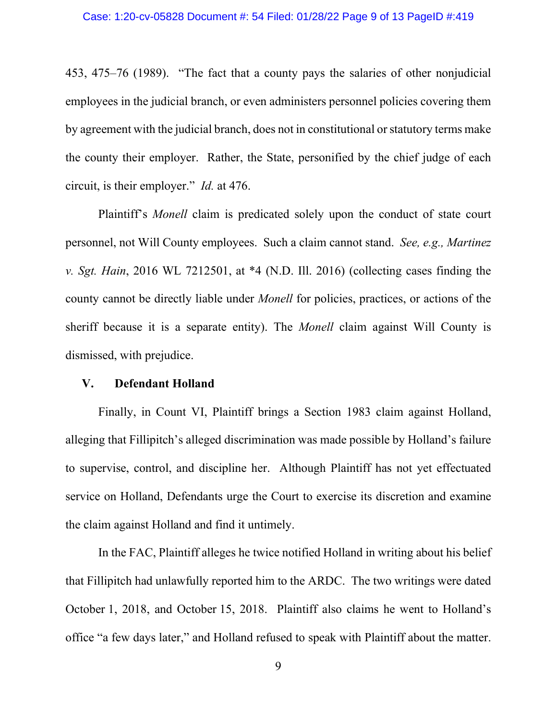453, 475–76 (1989). "The fact that a county pays the salaries of other nonjudicial employees in the judicial branch, or even administers personnel policies covering them by agreement with the judicial branch, does not in constitutional or statutory terms make the county their employer. Rather, the State, personified by the chief judge of each circuit, is their employer." *Id.* at 476.

Plaintiff's *Monell* claim is predicated solely upon the conduct of state court personnel, not Will County employees. Such a claim cannot stand. *See, e.g., Martinez v. Sgt. Hain*, 2016 WL 7212501, at \*4 (N.D. Ill. 2016) (collecting cases finding the county cannot be directly liable under *Monell* for policies, practices, or actions of the sheriff because it is a separate entity). The *Monell* claim against Will County is dismissed, with prejudice.

### **V. Defendant Holland**

Finally, in Count VI, Plaintiff brings a Section 1983 claim against Holland, alleging that Fillipitch's alleged discrimination was made possible by Holland's failure to supervise, control, and discipline her. Although Plaintiff has not yet effectuated service on Holland, Defendants urge the Court to exercise its discretion and examine the claim against Holland and find it untimely.

In the FAC, Plaintiff alleges he twice notified Holland in writing about his belief that Fillipitch had unlawfully reported him to the ARDC. The two writings were dated October 1, 2018, and October 15, 2018. Plaintiff also claims he went to Holland's office "a few days later," and Holland refused to speak with Plaintiff about the matter.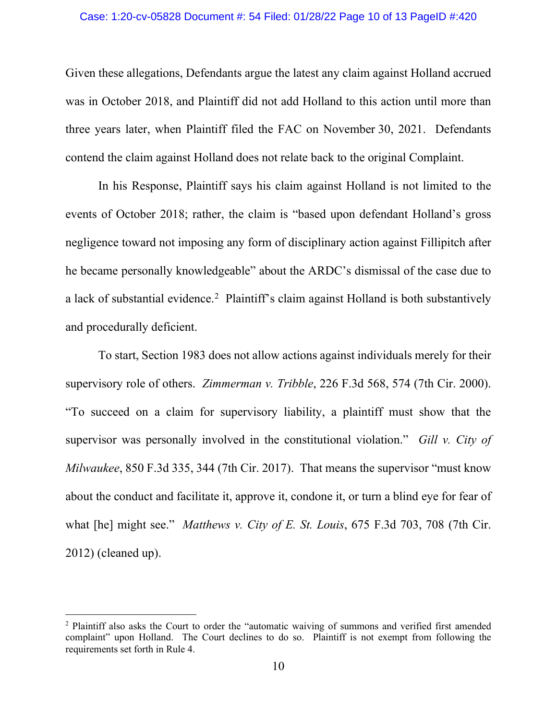#### Case: 1:20-cv-05828 Document #: 54 Filed: 01/28/22 Page 10 of 13 PageID #:420

Given these allegations, Defendants argue the latest any claim against Holland accrued was in October 2018, and Plaintiff did not add Holland to this action until more than three years later, when Plaintiff filed the FAC on November 30, 2021. Defendants contend the claim against Holland does not relate back to the original Complaint.

In his Response, Plaintiff says his claim against Holland is not limited to the events of October 2018; rather, the claim is "based upon defendant Holland's gross negligence toward not imposing any form of disciplinary action against Fillipitch after he became personally knowledgeable" about the ARDC's dismissal of the case due to a lack of substantial evidence.[2](#page-9-0) Plaintiff's claim against Holland is both substantively and procedurally deficient.

To start, Section 1983 does not allow actions against individuals merely for their supervisory role of others. *Zimmerman v. Tribble*, 226 F.3d 568, 574 (7th Cir. 2000). "To succeed on a claim for supervisory liability, a plaintiff must show that the supervisor was personally involved in the constitutional violation." *Gill v. City of Milwaukee*, 850 F.3d 335, 344 (7th Cir. 2017). That means the supervisor "must know about the conduct and facilitate it, approve it, condone it, or turn a blind eye for fear of what [he] might see." *Matthews v. City of E. St. Louis*, 675 F.3d 703, 708 (7th Cir. 2012) (cleaned up).

<span id="page-9-0"></span><sup>2</sup> Plaintiff also asks the Court to order the "automatic waiving of summons and verified first amended complaint" upon Holland. The Court declines to do so. Plaintiff is not exempt from following the requirements set forth in Rule 4.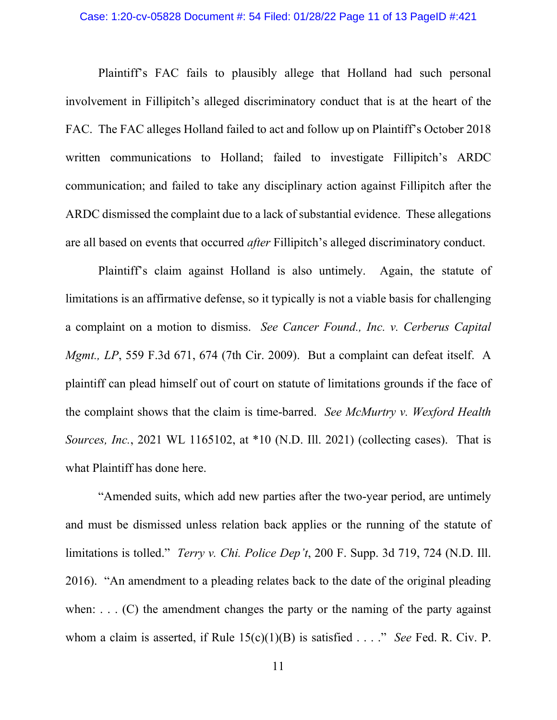#### Case: 1:20-cv-05828 Document #: 54 Filed: 01/28/22 Page 11 of 13 PageID #:421

Plaintiff's FAC fails to plausibly allege that Holland had such personal involvement in Fillipitch's alleged discriminatory conduct that is at the heart of the FAC. The FAC alleges Holland failed to act and follow up on Plaintiff's October 2018 written communications to Holland; failed to investigate Fillipitch's ARDC communication; and failed to take any disciplinary action against Fillipitch after the ARDC dismissed the complaint due to a lack of substantial evidence. These allegations are all based on events that occurred *after* Fillipitch's alleged discriminatory conduct.

Plaintiff's claim against Holland is also untimely. Again, the statute of limitations is an affirmative defense, so it typically is not a viable basis for challenging a complaint on a motion to dismiss. *See Cancer Found., Inc. v. Cerberus Capital Mgmt., LP*, 559 F.3d 671, 674 (7th Cir. 2009). But a complaint can defeat itself. A plaintiff can plead himself out of court on statute of limitations grounds if the face of the complaint shows that the claim is time-barred. *See McMurtry v. Wexford Health Sources, Inc.*, 2021 WL 1165102, at \*10 (N.D. Ill. 2021) (collecting cases). That is what Plaintiff has done here.

"Amended suits, which add new parties after the two-year period, are untimely and must be dismissed unless relation back applies or the running of the statute of limitations is tolled." *Terry v. Chi. Police Dep't*, 200 F. Supp. 3d 719, 724 (N.D. Ill. 2016). "An amendment to a pleading relates back to the date of the original pleading when:  $\dots$  (C) the amendment changes the party or the naming of the party against whom a claim is asserted, if Rule 15(c)(1)(B) is satisfied . . . ." *See* Fed. R. Civ. P.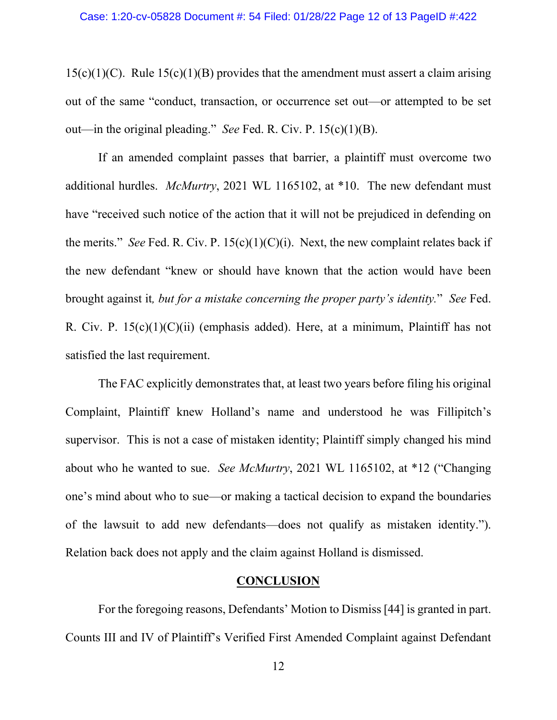$15(c)(1)(C)$ . Rule  $15(c)(1)(B)$  provides that the amendment must assert a claim arising out of the same "conduct, transaction, or occurrence set out—or attempted to be set out—in the original pleading." *See* Fed. R. Civ. P. 15(c)(1)(B).

If an amended complaint passes that barrier, a plaintiff must overcome two additional hurdles. *McMurtry*, 2021 WL 1165102, at \*10. The new defendant must have "received such notice of the action that it will not be prejudiced in defending on the merits." *See* Fed. R. Civ. P. 15(c)(1)(C)(i). Next, the new complaint relates back if the new defendant "knew or should have known that the action would have been brought against it*, but for a mistake concerning the proper party's identity.*" *See* Fed. R. Civ. P. 15(c)(1)(C)(ii) (emphasis added). Here, at a minimum, Plaintiff has not satisfied the last requirement.

The FAC explicitly demonstrates that, at least two years before filing his original Complaint, Plaintiff knew Holland's name and understood he was Fillipitch's supervisor. This is not a case of mistaken identity; Plaintiff simply changed his mind about who he wanted to sue. *See McMurtry*, 2021 WL 1165102, at \*12 ("Changing one's mind about who to sue—or making a tactical decision to expand the boundaries of the lawsuit to add new defendants—does not qualify as mistaken identity."). Relation back does not apply and the claim against Holland is dismissed.

### **CONCLUSION**

For the foregoing reasons, Defendants' Motion to Dismiss [44] is granted in part. Counts III and IV of Plaintiff's Verified First Amended Complaint against Defendant